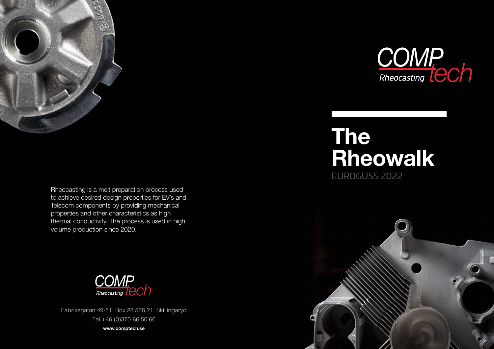

Rheocasting is a melt preparation process used to achieve desired design properties for EV´s and Telecom components by providing mechanical properties and other characteristics as high thermal conductivity. The process is used in high volume production since 2020.



Fabriksgatan 49-51 Box 28 568 21 Skillingaryd Tel +46 (0)370-66 50 66

**www.comptech.se**



## **The Rheowalk**

EUROGUSS 2022